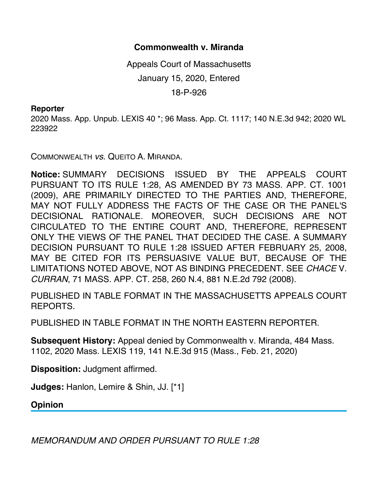## **Commonwealth v. Miranda**

Appeals Court of Massachusetts January 15, 2020, Entered 18-P-926

## **Reporter**

2020 Mass. App. Unpub. LEXIS 40 \*; 96 Mass. App. Ct. 1117; 140 N.E.3d 942; 2020 WL 223922

COMMONWEALTH *vs*. QUEITO A. MIRANDA.

**Notice:** SUMMARY DECISIONS ISSUED BY THE APPEALS COURT PURSUANT TO ITS RULE 1:28, AS AMENDED BY 73 MASS. APP. CT. 1001 (2009), ARE PRIMARILY DIRECTED TO THE PARTIES AND, THEREFORE, MAY NOT FULLY ADDRESS THE FACTS OF THE CASE OR THE PANEL'S DECISIONAL RATIONALE. MOREOVER, SUCH DECISIONS ARE NOT CIRCULATED TO THE ENTIRE COURT AND, THEREFORE, REPRESENT ONLY THE VIEWS OF THE PANEL THAT DECIDED THE CASE. A SUMMARY DECISION PURSUANT TO RULE 1:28 ISSUED AFTER FEBRUARY 25, 2008, MAY BE CITED FOR ITS PERSUASIVE VALUE BUT, BECAUSE OF THE LIMITATIONS NOTED ABOVE, NOT AS BINDING PRECEDENT. SEE *CHACE* V. *CURRAN*, 71 MASS. APP. CT. 258, 260 N.4, 881 N.E.2d 792 (2008).

PUBLISHED IN TABLE FORMAT IN THE MASSACHUSETTS APPEALS COURT REPORTS.

PUBLISHED IN TABLE FORMAT IN THE NORTH EASTERN REPORTER.

**Subsequent History:** Appeal denied by Commonwealth v. Miranda, 484 Mass. 1102, 2020 Mass. LEXIS 119, 141 N.E.3d 915 (Mass., Feb. 21, 2020)

**Disposition:** Judgment affirmed.

**Judges:** Hanlon, Lemire & Shin, JJ. [\*1]

**Opinion**

*MEMORANDUM AND ORDER PURSUANT TO RULE 1:28*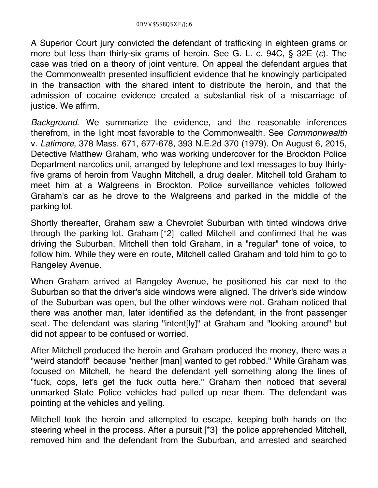A Superior Court jury convicted the defendant of trafficking in eighteen grams or more but less than thirty-six grams of heroin. See G. L. c. 94C, § 32E (*c*). The case was tried on a theory of joint venture. On appeal the defendant argues that the Commonwealth presented insufficient evidence that he knowingly participated in the transaction with the shared intent to distribute the heroin, and that the admission of cocaine evidence created a substantial risk of a miscarriage of justice. We affirm.

*Background*. We summarize the evidence, and the reasonable inferences therefrom, in the light most favorable to the Commonwealth. See *Commonwealth* v. *Latimore*, 378 Mass. 671, 677-678, 393 N.E.2d 370 (1979). On August 6, 2015, Detective Matthew Graham, who was working undercover for the Brockton Police Department narcotics unit, arranged by telephone and text messages to buy thirtyfive grams of heroin from Vaughn Mitchell, a drug dealer. Mitchell told Graham to meet him at a Walgreens in Brockton. Police surveillance vehicles followed Graham's car as he drove to the Walgreens and parked in the middle of the parking lot.

Shortly thereafter, Graham saw a Chevrolet Suburban with tinted windows drive through the parking lot. Graham [\*2] called Mitchell and confirmed that he was driving the Suburban. Mitchell then told Graham, in a "regular" tone of voice, to follow him. While they were en route, Mitchell called Graham and told him to go to Rangeley Avenue.

When Graham arrived at Rangeley Avenue, he positioned his car next to the Suburban so that the driver's side windows were aligned. The driver's side window of the Suburban was open, but the other windows were not. Graham noticed that there was another man, later identified as the defendant, in the front passenger seat. The defendant was staring "intent[ly]" at Graham and "looking around" but did not appear to be confused or worried.

After Mitchell produced the heroin and Graham produced the money, there was a "weird standoff" because "neither [man] wanted to get robbed." While Graham was focused on Mitchell, he heard the defendant yell something along the lines of "fuck, cops, let's get the fuck outta here." Graham then noticed that several unmarked State Police vehicles had pulled up near them. The defendant was pointing at the vehicles and yelling.

Mitchell took the heroin and attempted to escape, keeping both hands on the steering wheel in the process. After a pursuit [\*3] the police apprehended Mitchell, removed him and the defendant from the Suburban, and arrested and searched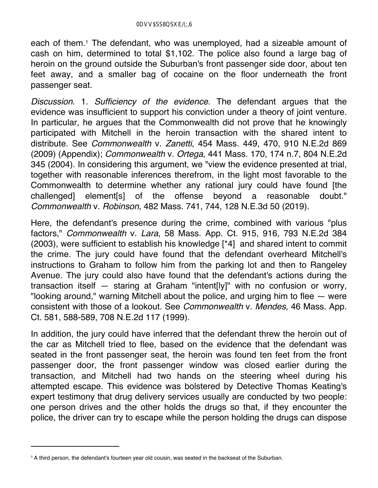each of them.<sup>1</sup> The defendant, who was unemployed, had a sizeable amount of cash on him, determined to total \$1,102. The police also found a large bag of heroin on the ground outside the Suburban's front passenger side door, about ten feet away, and a smaller bag of cocaine on the floor underneath the front passenger seat.

*Discussion*. 1. *Sufficiency of the evidence*. The defendant argues that the evidence was insufficient to support his conviction under a theory of joint venture. In particular, he argues that the Commonwealth did not prove that he knowingly participated with Mitchell in the heroin transaction with the shared intent to distribute. See *Commonwealth* v. *Zanetti*, 454 Mass. 449, 470, 910 N.E.2d 869 (2009) (Appendix); *Commonwealth* v. *Ortega*, 441 Mass. 170, 174 n.7, 804 N.E.2d 345 (2004). In considering this argument, we "view the evidence presented at trial, together with reasonable inferences therefrom, in the light most favorable to the Commonwealth to determine whether any rational jury could have found [the challenged] element[s] of the offense beyond a reasonable doubt." *Commonwealth* v. *Robinson*, 482 Mass. 741, 744, 128 N.E.3d 50 (2019).

Here, the defendant's presence during the crime, combined with various "plus factors," *Commonwealth* v. *Lara*, 58 Mass. App. Ct. 915, 916, 793 N.E.2d 384 (2003), were sufficient to establish his knowledge [\*4] and shared intent to commit the crime. The jury could have found that the defendant overheard Mitchell's instructions to Graham to follow him from the parking lot and then to Rangeley Avenue. The jury could also have found that the defendant's actions during the transaction itself — staring at Graham "intent[ly]" with no confusion or worry, "looking around," warning Mitchell about the police, and urging him to flee — were consistent with those of a lookout. See *Commonwealth* v. *Mendes*, 46 Mass. App. Ct. 581, 588-589, 708 N.E.2d 117 (1999).

In addition, the jury could have inferred that the defendant threw the heroin out of the car as Mitchell tried to flee, based on the evidence that the defendant was seated in the front passenger seat, the heroin was found ten feet from the front passenger door, the front passenger window was closed earlier during the transaction, and Mitchell had two hands on the steering wheel during his attempted escape. This evidence was bolstered by Detective Thomas Keating's expert testimony that drug delivery services usually are conducted by two people: one person drives and the other holds the drugs so that, if they encounter the police, the driver can try to escape while the person holding the drugs can dispose

<sup>1</sup> A third person, the defendant's fourteen year old cousin, was seated in the backseat of the Suburban.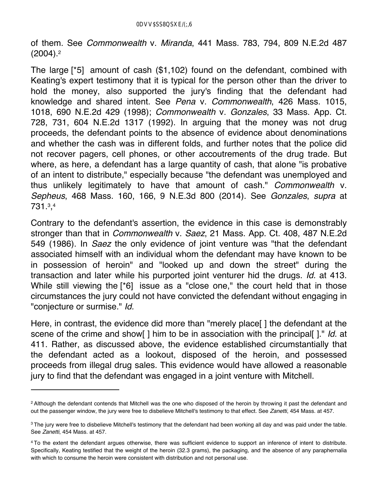of them. See *Commonwealth* v. *Miranda*, 441 Mass. 783, 794, 809 N.E.2d 487  $(2004).<sup>2</sup>$ 

The large [\*5] amount of cash (\$1,102) found on the defendant, combined with Keating's expert testimony that it is typical for the person other than the driver to hold the money, also supported the jury's finding that the defendant had knowledge and shared intent. See *Pena* v. *Commonwealth*, 426 Mass. 1015, 1018, 690 N.E.2d 429 (1998); *Commonwealth* v. *Gonzales*, 33 Mass. App. Ct. 728, 731, 604 N.E.2d 1317 (1992). In arguing that the money was not drug proceeds, the defendant points to the absence of evidence about denominations and whether the cash was in different folds, and further notes that the police did not recover pagers, cell phones, or other accoutrements of the drug trade. But where, as here, a defendant has a large quantity of cash, that alone "is probative of an intent to distribute," especially because "the defendant was unemployed and thus unlikely legitimately to have that amount of cash." *Commonwealth* v. *Sepheus*, 468 Mass. 160, 166, 9 N.E.3d 800 (2014). See *Gonzales*, *supra* at 731.3,4

Contrary to the defendant's assertion, the evidence in this case is demonstrably stronger than that in *Commonwealth* v. *Saez*, 21 Mass. App. Ct. 408, 487 N.E.2d 549 (1986). In *Saez* the only evidence of joint venture was "that the defendant associated himself with an individual whom the defendant may have known to be in possession of heroin" and "looked up and down the street" during the transaction and later while his purported joint venturer hid the drugs. *Id.* at 413. While still viewing the [\*6] issue as a "close one," the court held that in those circumstances the jury could not have convicted the defendant without engaging in "conjecture or surmise." *Id.*

Here, in contrast, the evidence did more than "merely place[ ] the defendant at the scene of the crime and show[ ] him to be in association with the principal[ ]." *Id.* at 411. Rather, as discussed above, the evidence established circumstantially that the defendant acted as a lookout, disposed of the heroin, and possessed proceeds from illegal drug sales. This evidence would have allowed a reasonable jury to find that the defendant was engaged in a joint venture with Mitchell.

<sup>&</sup>lt;sup>2</sup> Although the defendant contends that Mitchell was the one who disposed of the heroin by throwing it past the defendant and out the passenger window, the jury were free to disbelieve Mitchell's testimony to that effect. See *Zanetti*, 454 Mass. at 457.

<sup>&</sup>lt;sup>3</sup> The jury were free to disbelieve Mitchell's testimony that the defendant had been working all day and was paid under the table. See *Zanetti*, 454 Mass. at 457.

<sup>4</sup> To the extent the defendant argues otherwise, there was sufficient evidence to support an inference of intent to distribute. Specifically, Keating testified that the weight of the heroin (32.3 grams), the packaging, and the absence of any paraphernalia with which to consume the heroin were consistent with distribution and not personal use.